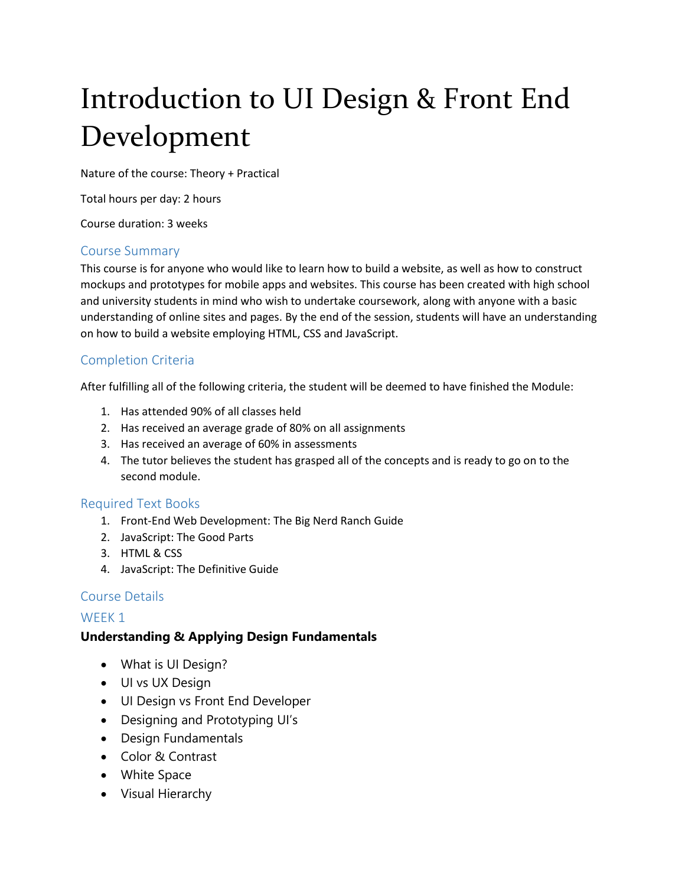# Introduction to UI Design & Front End Development

Nature of the course: Theory + Practical

Total hours per day: 2 hours

Course duration: 3 weeks

#### Course Summary

This course is for anyone who would like to learn how to build a website, as well as how to construct mockups and prototypes for mobile apps and websites. This course has been created with high school and university students in mind who wish to undertake coursework, along with anyone with a basic understanding of online sites and pages. By the end of the session, students will have an understanding on how to build a website employing HTML, CSS and JavaScript.

# Completion Criteria

After fulfilling all of the following criteria, the student will be deemed to have finished the Module:

- 1. Has attended 90% of all classes held
- 2. Has received an average grade of 80% on all assignments
- 3. Has received an average of 60% in assessments
- 4. The tutor believes the student has grasped all of the concepts and is ready to go on to the second module.

#### Required Text Books

- 1. Front-End Web Development: The Big Nerd Ranch Guide
- 2. JavaScript: The Good Parts
- 3. HTML & CSS
- 4. JavaScript: The Definitive Guide

# Course Details

# WEEK<sub>1</sub>

# **Understanding & Applying Design Fundamentals**

- What is UI Design?
- UI vs UX Design
- UI Design vs Front End Developer
- Designing and Prototyping UI's
- Design Fundamentals
- Color & Contrast
- White Space
- Visual Hierarchy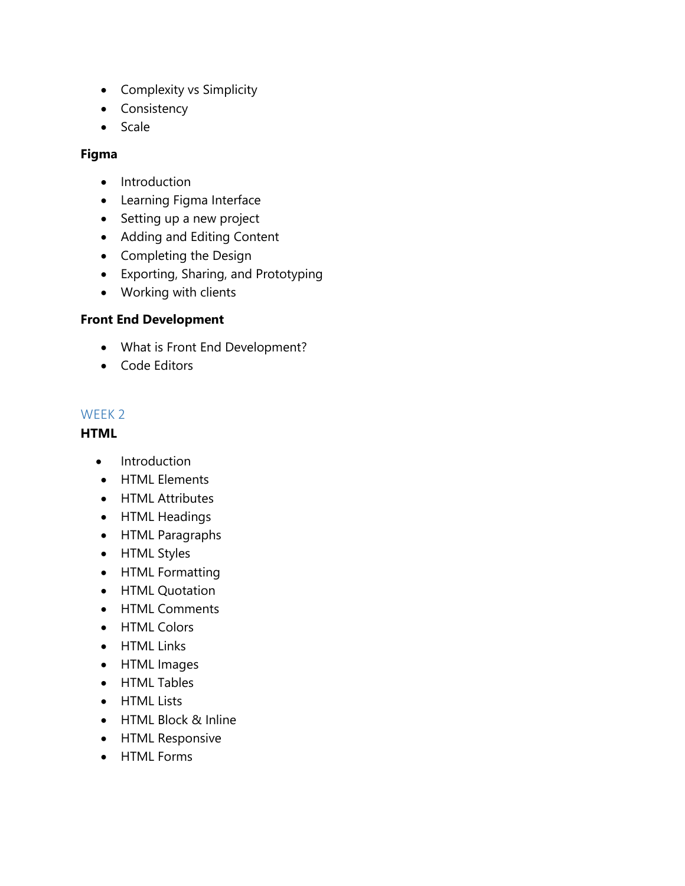- Complexity vs Simplicity
- Consistency
- Scale

### **Figma**

- Introduction
- Learning Figma Interface
- Setting up a new project
- Adding and Editing Content
- Completing the Design
- Exporting, Sharing, and Prototyping
- Working with clients

#### **Front End Development**

- What is Front End Development?
- Code Editors

#### WEEK 2

#### **HTML**

- Introduction
- HTML Elements
- HTML Attributes
- HTML Headings
- HTML Paragraphs
- HTML Styles
- HTML Formatting
- HTML Quotation
- HTML Comments
- HTML Colors
- HTML Links
- HTML Images
- HTML Tables
- HTML Lists
- HTML Block & Inline
- **•** HTML Responsive
- HTML Forms